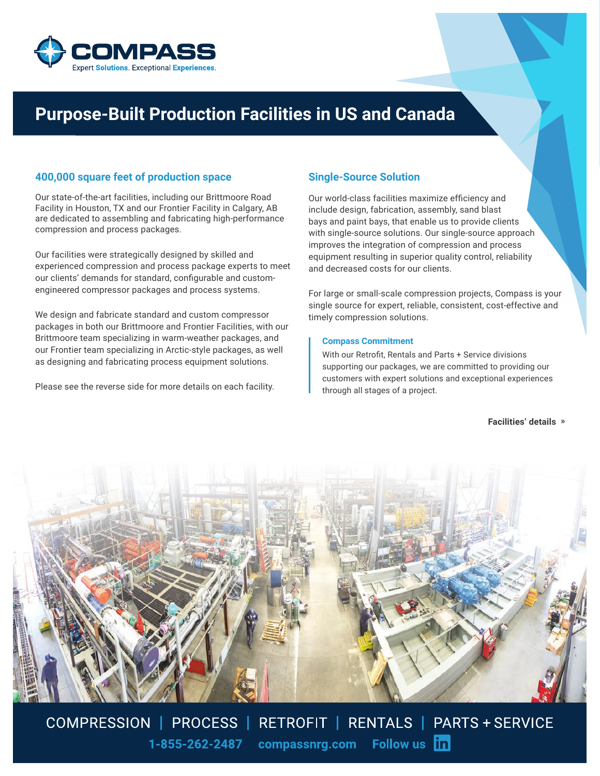

# **Purpose-Built Production Facilities in US and Canada**

## **400,000 square feet of production space**

Our state-of-the-art facilities, including our Brittmoore Road Facility in Houston, TX and our Frontier Facility in Calgary, AB are dedicated to assembling and fabricating high-performance compression and process packages.

Our facilities were strategically designed by skilled and experienced compression and process package experts to meet our clients' demands for standard, configurable and customengineered compressor packages and process systems.

We design and fabricate standard and custom compressor packages in both our Brittmoore and Frontier Facilities, with our Brittmoore team specializing in warm-weather packages, and our Frontier team specializing in Arctic-style packages, as well as designing and fabricating process equipment solutions.

Please see the reverse side for more details on each facility.

## **Single-Source Solution**

Our world-class facilities maximize efficiency and include design, fabrication, assembly, sand blast bays and paint bays, that enable us to provide clients with single-source solutions. Our single-source approach improves the integration of compression and process equipment resulting in superior quality control, reliability and decreased costs for our clients.

For large or small-scale compression projects, Compass is your single source for expert, reliable, consistent, cost-effective and timely compression solutions.

#### **Compass Commitment**

With our Retrofit, Rentals and Parts + Service divisions supporting our packages, we are committed to providing our customers with expert solutions and exceptional experiences through all stages of a project.

**Facilities' details »**



COMPRESSION | PROCESS | RETROFIT | RENTALS | PARTS + SERVICE compassnrg.com Follow us in 1-855-262-2487